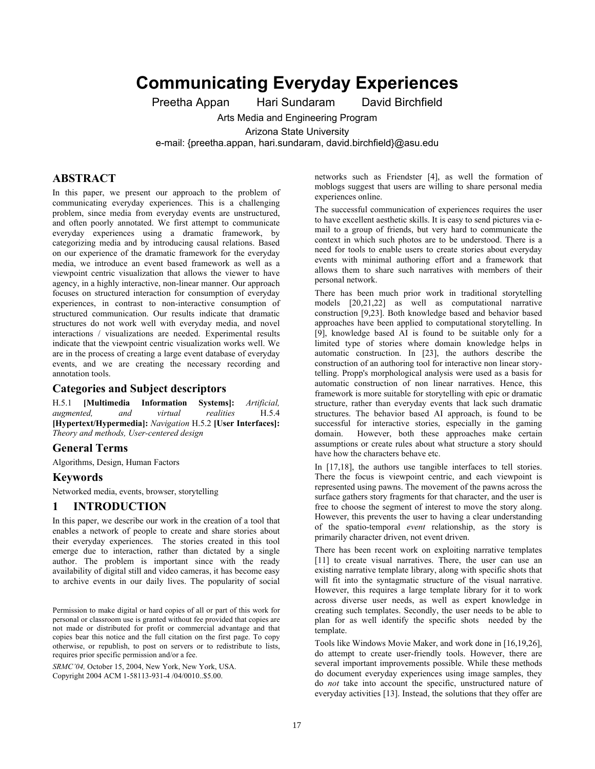# **Communicating Everyday Experiences**

Preetha Appan Hari Sundaram David Birchfield

Arts Media and Engineering Program

Arizona State University

e-mail: {preetha.appan, hari.sundaram, david.birchfield}@asu.edu

# **ABSTRACT**

In this paper, we present our approach to the problem of communicating everyday experiences. This is a challenging problem, since media from everyday events are unstructured, and often poorly annotated. We first attempt to communicate everyday experiences using a dramatic framework, by categorizing media and by introducing causal relations. Based on our experience of the dramatic framework for the everyday media, we introduce an event based framework as well as a viewpoint centric visualization that allows the viewer to have agency, in a highly interactive, non-linear manner. Our approach focuses on structured interaction for consumption of everyday experiences, in contrast to non-interactive consumption of structured communication. Our results indicate that dramatic structures do not work well with everyday media, and novel interactions / visualizations are needed. Experimental results indicate that the viewpoint centric visualization works well. We are in the process of creating a large event database of everyday events, and we are creating the necessary recording and annotation tools.

# **Categories and Subject descriptors**

H.5.1 **[Multimedia Information Systems]:** *Artificial, augmented, and virtual realities* H.5.4 **[Hypertext/Hypermedia]:** *Navigation* H.5.2 **[User Interfaces]:** *Theory and methods, User-centered design*

## **General Terms**

Algorithms, Design, Human Factors

## **Keywords**

Networked media, events, browser, storytelling

# **1 INTRODUCTION**

In this paper, we describe our work in the creation of a tool that enables a network of people to create and share stories about their everyday experiences. The stories created in this tool emerge due to interaction, rather than dictated by a single author. The problem is important since with the ready availability of digital still and video cameras, it has become easy to archive events in our daily lives. The popularity of social

Permission to make digital or hard copies of all or part of this work for personal or classroom use is granted without fee provided that copies are not made or distributed for profit or commercial advantage and that copies bear this notice and the full citation on the first page. To copy otherwise, or republish, to post on servers or to redistribute to lists, requires prior specific permission and/or a fee.

*SRMC'04,* October 15, 2004, New York, New York, USA. Copyright 2004 ACM 1-58113-931-4 /04/0010..\$5.00.

networks such as Friendster [4], as well the formation of moblogs suggest that users are willing to share personal media experiences online.

The successful communication of experiences requires the user to have excellent aesthetic skills. It is easy to send pictures via email to a group of friends, but very hard to communicate the context in which such photos are to be understood. There is a need for tools to enable users to create stories about everyday events with minimal authoring effort and a framework that allows them to share such narratives with members of their personal network.

There has been much prior work in traditional storytelling models [20,21,22] as well as computational narrative construction [9,23]. Both knowledge based and behavior based approaches have been applied to computational storytelling. In [9], knowledge based AI is found to be suitable only for a limited type of stories where domain knowledge helps in automatic construction. In [23], the authors describe the construction of an authoring tool for interactive non linear storytelling. Propp's morphological analysis were used as a basis for automatic construction of non linear narratives. Hence, this framework is more suitable for storytelling with epic or dramatic structure, rather than everyday events that lack such dramatic structures. The behavior based AI approach, is found to be successful for interactive stories, especially in the gaming domain. However, both these approaches make certain assumptions or create rules about what structure a story should have how the characters behave etc.

In [17,18], the authors use tangible interfaces to tell stories. There the focus is viewpoint centric, and each viewpoint is represented using pawns. The movement of the pawns across the surface gathers story fragments for that character, and the user is free to choose the segment of interest to move the story along. However, this prevents the user to having a clear understanding of the spatio-temporal *event* relationship, as the story is primarily character driven, not event driven.

There has been recent work on exploiting narrative templates [11] to create visual narratives. There, the user can use an existing narrative template library, along with specific shots that will fit into the syntagmatic structure of the visual narrative. However, this requires a large template library for it to work across diverse user needs, as well as expert knowledge in creating such templates. Secondly, the user needs to be able to plan for as well identify the specific shots needed by the template.

Tools like Windows Movie Maker, and work done in [16,19,26], do attempt to create user-friendly tools. However, there are several important improvements possible. While these methods do document everyday experiences using image samples, they do *not* take into account the specific, unstructured nature of everyday activities [13]. Instead, the solutions that they offer are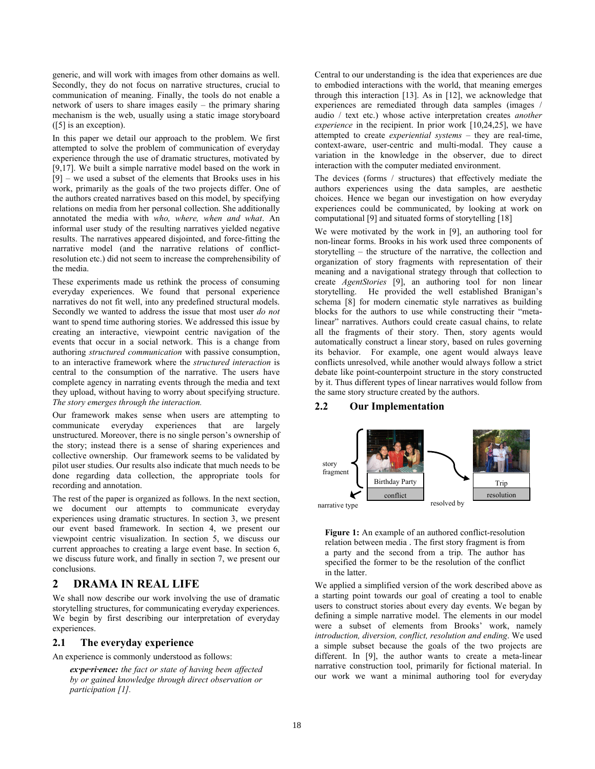generic, and will work with images from other domains as well. Secondly, they do not focus on narrative structures, crucial to communication of meaning. Finally, the tools do not enable a network of users to share images easily – the primary sharing mechanism is the web, usually using a static image storyboard ([5] is an exception).

In this paper we detail our approach to the problem. We first attempted to solve the problem of communication of everyday experience through the use of dramatic structures, motivated by [9,17]. We built a simple narrative model based on the work in [9] – we used a subset of the elements that Brooks uses in his work, primarily as the goals of the two projects differ. One of the authors created narratives based on this model, by specifying relations on media from her personal collection. She additionally annotated the media with *who, where, when and what*. An informal user study of the resulting narratives yielded negative results. The narratives appeared disjointed, and force-fitting the narrative model (and the narrative relations of conflictresolution etc.) did not seem to increase the comprehensibility of the media.

These experiments made us rethink the process of consuming everyday experiences. We found that personal experience narratives do not fit well, into any predefined structural models. Secondly we wanted to address the issue that most user *do not*  want to spend time authoring stories. We addressed this issue by creating an interactive, viewpoint centric navigation of the events that occur in a social network. This is a change from authoring *structured communication* with passive consumption, to an interactive framework where the *structured interaction* is central to the consumption of the narrative. The users have complete agency in narrating events through the media and text they upload, without having to worry about specifying structure. *The story emerges through the interaction.* 

Our framework makes sense when users are attempting to communicate everyday experiences that are largely unstructured. Moreover, there is no single person's ownership of the story; instead there is a sense of sharing experiences and collective ownership. Our framework seems to be validated by pilot user studies. Our results also indicate that much needs to be done regarding data collection, the appropriate tools for recording and annotation.

The rest of the paper is organized as follows. In the next section, we document our attempts to communicate everyday experiences using dramatic structures. In section 3, we present our event based framework. In section 4, we present our viewpoint centric visualization. In section 5, we discuss our current approaches to creating a large event base. In section 6, we discuss future work, and finally in section 7, we present our conclusions.

# **2 DRAMA IN REAL LIFE**

We shall now describe our work involving the use of dramatic storytelling structures, for communicating everyday experiences. We begin by first describing our interpretation of everyday experiences.

### **2.1 The everyday experience**

An experience is commonly understood as follows:

*ex·pe·ri·ence: the fact or state of having been affected by or gained knowledge through direct observation or participation [1].* 

Central to our understanding is the idea that experiences are due to embodied interactions with the world, that meaning emerges through this interaction [13]. As in [12], we acknowledge that experiences are remediated through data samples (images / audio / text etc.) whose active interpretation creates *another experience* in the recipient. In prior work [10,24,25], we have attempted to create *experiential systems* – they are real-time, context-aware, user-centric and multi-modal. They cause a variation in the knowledge in the observer, due to direct interaction with the computer mediated environment.

The devices (forms / structures) that effectively mediate the authors experiences using the data samples, are aesthetic choices. Hence we began our investigation on how everyday experiences could be communicated, by looking at work on computational [9] and situated forms of storytelling [18]

We were motivated by the work in [9], an authoring tool for non-linear forms. Brooks in his work used three components of storytelling – the structure of the narrative, the collection and organization of story fragments with representation of their meaning and a navigational strategy through that collection to create *AgentStories* [9], an authoring tool for non linear storytelling. He provided the well established Branigan's schema [8] for modern cinematic style narratives as building blocks for the authors to use while constructing their "metalinear" narratives. Authors could create casual chains, to relate all the fragments of their story. Then, story agents would automatically construct a linear story, based on rules governing its behavior. For example, one agent would always leave conflicts unresolved, while another would always follow a strict debate like point-counterpoint structure in the story constructed by it. Thus different types of linear narratives would follow from the same story structure created by the authors.

## **2.2 Our Implementation**



**Figure 1:** An example of an authored conflict-resolution relation between media . The first story fragment is from a party and the second from a trip. The author has specified the former to be the resolution of the conflict in the latter.

We applied a simplified version of the work described above as a starting point towards our goal of creating a tool to enable users to construct stories about every day events. We began by defining a simple narrative model. The elements in our model were a subset of elements from Brooks' work, namely *introduction, diversion, conflict, resolution and ending*. We used a simple subset because the goals of the two projects are different. In [9], the author wants to create a meta-linear narrative construction tool, primarily for fictional material. In our work we want a minimal authoring tool for everyday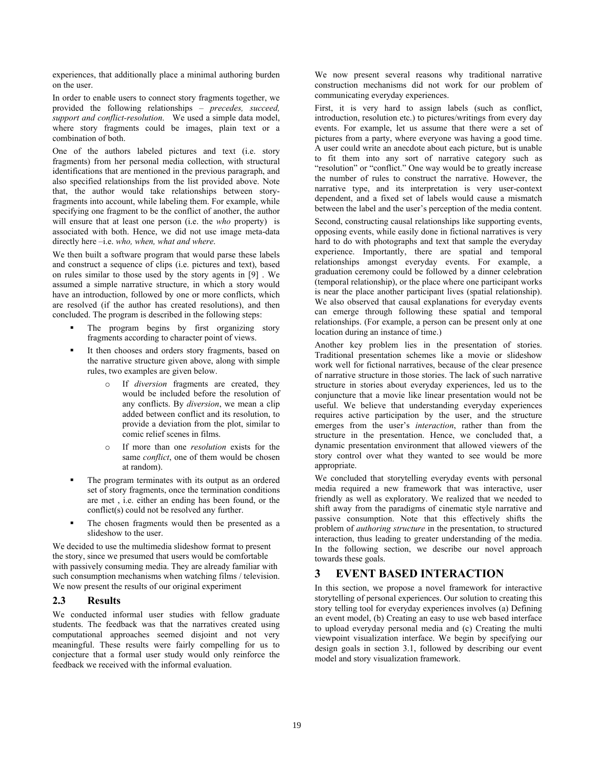experiences, that additionally place a minimal authoring burden on the user.

In order to enable users to connect story fragments together, we provided the following relationships – *precedes, succeed, support and conflict-resolution*. We used a simple data model, where story fragments could be images, plain text or a combination of both.

One of the authors labeled pictures and text (i.e. story fragments) from her personal media collection, with structural identifications that are mentioned in the previous paragraph, and also specified relationships from the list provided above. Note that, the author would take relationships between storyfragments into account, while labeling them. For example, while specifying one fragment to be the conflict of another, the author will ensure that at least one person (i.e. the *who* property) is associated with both. Hence, we did not use image meta-data directly here –i.e. *who, when, what and where*.

We then built a software program that would parse these labels and construct a sequence of clips (i.e. pictures and text), based on rules similar to those used by the story agents in [9] . We assumed a simple narrative structure, in which a story would have an introduction, followed by one or more conflicts, which are resolved (if the author has created resolutions), and then concluded. The program is described in the following steps:

- The program begins by first organizing story fragments according to character point of views.
- It then chooses and orders story fragments, based on the narrative structure given above, along with simple rules, two examples are given below.
	- o If *diversion* fragments are created, they would be included before the resolution of any conflicts. By *diversion*, we mean a clip added between conflict and its resolution, to provide a deviation from the plot, similar to comic relief scenes in films.
	- o If more than one *resolution* exists for the same *conflict*, one of them would be chosen at random).
- The program terminates with its output as an ordered set of story fragments, once the termination conditions are met , i.e. either an ending has been found, or the conflict(s) could not be resolved any further.
- The chosen fragments would then be presented as a slideshow to the user.

We decided to use the multimedia slideshow format to present the story, since we presumed that users would be comfortable with passively consuming media. They are already familiar with such consumption mechanisms when watching films / television. We now present the results of our original experiment

#### **2.3 Results**

We conducted informal user studies with fellow graduate students. The feedback was that the narratives created using computational approaches seemed disjoint and not very meaningful. These results were fairly compelling for us to conjecture that a formal user study would only reinforce the feedback we received with the informal evaluation.

We now present several reasons why traditional narrative construction mechanisms did not work for our problem of communicating everyday experiences.

First, it is very hard to assign labels (such as conflict, introduction, resolution etc.) to pictures/writings from every day events. For example, let us assume that there were a set of pictures from a party, where everyone was having a good time. A user could write an anecdote about each picture, but is unable to fit them into any sort of narrative category such as "resolution" or "conflict." One way would be to greatly increase the number of rules to construct the narrative. However, the narrative type, and its interpretation is very user-context dependent, and a fixed set of labels would cause a mismatch between the label and the user's perception of the media content.

Second, constructing causal relationships like supporting events, opposing events, while easily done in fictional narratives is very hard to do with photographs and text that sample the everyday experience. Importantly, there are spatial and temporal relationships amongst everyday events. For example, a graduation ceremony could be followed by a dinner celebration (temporal relationship), or the place where one participant works is near the place another participant lives (spatial relationship). We also observed that causal explanations for everyday events can emerge through following these spatial and temporal relationships. (For example, a person can be present only at one location during an instance of time.)

Another key problem lies in the presentation of stories. Traditional presentation schemes like a movie or slideshow work well for fictional narratives, because of the clear presence of narrative structure in those stories. The lack of such narrative structure in stories about everyday experiences, led us to the conjuncture that a movie like linear presentation would not be useful. We believe that understanding everyday experiences requires active participation by the user, and the structure emerges from the user's *interaction*, rather than from the structure in the presentation. Hence, we concluded that, a dynamic presentation environment that allowed viewers of the story control over what they wanted to see would be more appropriate.

We concluded that storytelling everyday events with personal media required a new framework that was interactive, user friendly as well as exploratory. We realized that we needed to shift away from the paradigms of cinematic style narrative and passive consumption. Note that this effectively shifts the problem of *authoring structure* in the presentation, to structured interaction, thus leading to greater understanding of the media. In the following section, we describe our novel approach towards these goals.

# **3 EVENT BASED INTERACTION**

In this section, we propose a novel framework for interactive storytelling of personal experiences. Our solution to creating this story telling tool for everyday experiences involves (a) Defining an event model, (b) Creating an easy to use web based interface to upload everyday personal media and (c) Creating the multi viewpoint visualization interface. We begin by specifying our design goals in section 3.1, followed by describing our event model and story visualization framework.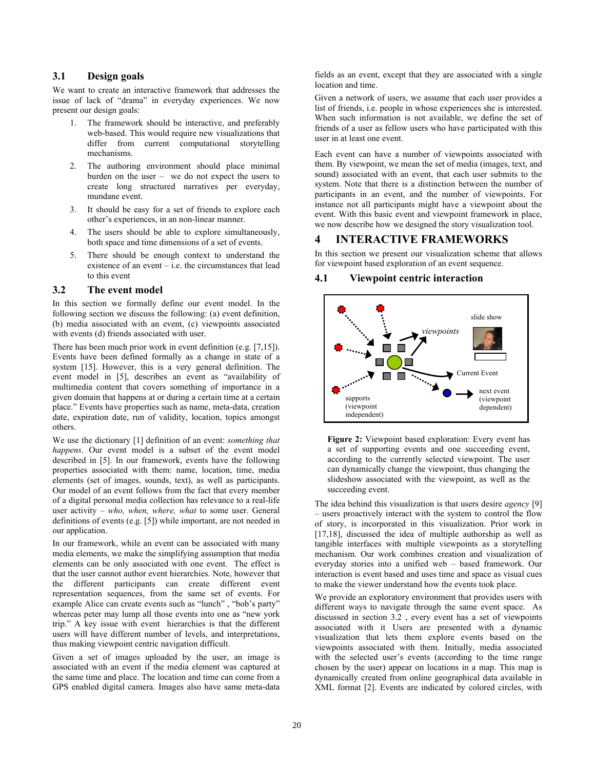## **3.1 Design goals**

We want to create an interactive framework that addresses the issue of lack of "drama" in everyday experiences. We now present our design goals:

- 1. The framework should be interactive, and preferably web-based. This would require new visualizations that differ from current computational storytelling mechanisms.
- 2. The authoring environment should place minimal burden on the user – we do not expect the users to create long structured narratives per everyday, mundane event.
- 3. It should be easy for a set of friends to explore each other's experiences, in an non-linear manner.
- 4. The users should be able to explore simultaneously, both space and time dimensions of a set of events.
- 5. There should be enough context to understand the existence of an event – i.e. the circumstances that lead to this event

#### **3.2 The event model**

In this section we formally define our event model. In the following section we discuss the following: (a) event definition, (b) media associated with an event, (c) viewpoints associated with events (d) friends associated with user.

There has been much prior work in event definition (e.g. [7,15]). Events have been defined formally as a change in state of a system [15]. However, this is a very general definition. The event model in [5], describes an event as "availability of multimedia content that covers something of importance in a given domain that happens at or during a certain time at a certain place." Events have properties such as name, meta-data, creation date, expiration date, run of validity, location, topics amongst others.

We use the dictionary [1] definition of an event: *something that happens*. Our event model is a subset of the event model described in [5]. In our framework, events have the following properties associated with them: name, location, time, media elements (set of images, sounds, text), as well as participants. Our model of an event follows from the fact that every member of a digital personal media collection has relevance to a real-life user activity – *who, when, where, what* to some user. General definitions of events (e.g. [5]) while important, are not needed in our application.

In our framework, while an event can be associated with many media elements, we make the simplifying assumption that media elements can be only associated with one event. The effect is that the user cannot author event hierarchies. Note, however that the different participants can create different event representation sequences, from the same set of events. For example Alice can create events such as "lunch" , "bob's party" whereas peter may lump all those events into one as "new york trip." A key issue with event hierarchies is that the different users will have different number of levels, and interpretations, thus making viewpoint centric navigation difficult.

Given a set of images uploaded by the user, an image is associated with an event if the media element was captured at the same time and place. The location and time can come from a GPS enabled digital camera. Images also have same meta-data fields as an event, except that they are associated with a single location and time.

Given a network of users, we assume that each user provides a list of friends, i.e. people in whose experiences she is interested. When such information is not available, we define the set of friends of a user as fellow users who have participated with this user in at least one event.

Each event can have a number of viewpoints associated with them. By viewpoint, we mean the set of media (images, text, and sound) associated with an event, that each user submits to the system. Note that there is a distinction between the number of participants in an event, and the number of viewpoints. For instance not all participants might have a viewpoint about the event. With this basic event and viewpoint framework in place, we now describe how we designed the story visualization tool.

## **4 INTERACTIVE FRAMEWORKS**

In this section we present our visualization scheme that allows for viewpoint based exploration of an event sequence.

#### **4.1 Viewpoint centric interaction**



Figure 2: Viewpoint based exploration: Every event has a set of supporting events and one succeeding event, according to the currently selected viewpoint. The user can dynamically change the viewpoint, thus changing the slideshow associated with the viewpoint, as well as the succeeding event.

The idea behind this visualization is that users desire *agency* [9] *–* users proactively interact with the system to control the flow of story, is incorporated in this visualization. Prior work in [17,18], discussed the idea of multiple authorship as well as tangible interfaces with multiple viewpoints as a storytelling mechanism. Our work combines creation and visualization of everyday stories into a unified web – based framework. Our interaction is event based and uses time and space as visual cues to make the viewer understand how the events took place.

We provide an exploratory environment that provides users with different ways to navigate through the same event space. As discussed in section 3.2 , every event has a set of viewpoints associated with it Users are presented with a dynamic visualization that lets them explore events based on the viewpoints associated with them. Initially, media associated with the selected user's events (according to the time range chosen by the user) appear on locations in a map. This map is dynamically created from online geographical data available in XML format [2]. Events are indicated by colored circles, with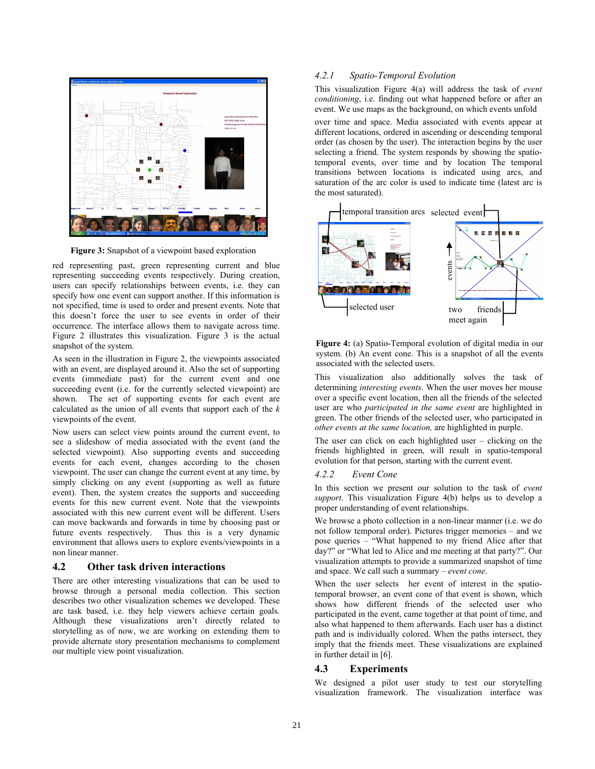

**Figure 3:** Snapshot of a viewpoint based exploration

red representing past, green representing current and blue representing succeeding events respectively. During creation, users can specify relationships between events, i.e. they can specify how one event can support another. If this information is not specified, time is used to order and present events. Note that this doesn't force the user to see events in order of their occurrence. The interface allows them to navigate across time. Figure 2 illustrates this visualization. Figure 3 is the actual snapshot of the system.

As seen in the illustration in Figure 2, the viewpoints associated with an event, are displayed around it. Also the set of supporting events (immediate past) for the current event and one succeeding event (i.e. for the currently selected viewpoint) are shown. The set of supporting events for each event are calculated as the union of all events that support each of the *k* viewpoints of the event.

Now users can select view points around the current event, to see a slideshow of media associated with the event (and the selected viewpoint). Also supporting events and succeeding events for each event, changes according to the chosen viewpoint. The user can change the current event at any time, by simply clicking on any event (supporting as well as future event). Then, the system creates the supports and succeeding events for this new current event. Note that the viewpoints associated with this new current event will be different. Users can move backwards and forwards in time by choosing past or future events respectively. Thus this is a very dynamic environment that allows users to explore events/viewpoints in a non linear manner.

#### **4.2 Other task driven interactions**

There are other interesting visualizations that can be used to browse through a personal media collection. This section describes two other visualization schemes we developed. These are task based, i.e. they help viewers achieve certain goals. Although these visualizations aren't directly related to storytelling as of now, we are working on extending them to provide alternate story presentation mechanisms to complement our multiple view point visualization.

## *4.2.1 Spatio-Temporal Evolution*

This visualization Figure 4(a) will address the task of *event conditioning*, i.e. finding out what happened before or after an event. We use maps as the background, on which events unfold

over time and space. Media associated with events appear at different locations, ordered in ascending or descending temporal order (as chosen by the user). The interaction begins by the user selecting a friend. The system responds by showing the spatiotemporal events, over time and by location The temporal transitions between locations is indicated using arcs, and saturation of the arc color is used to indicate time (latest arc is the most saturated).



**Figure 4:** (a) Spatio-Temporal evolution of digital media in our system. (b) An event cone. This is a snapshot of all the events associated with the selected users.

This visualization also additionally solves the task of determining *interesting events*. When the user moves her mouse over a specific event location, then all the friends of the selected user are who *participated in the same event* are highlighted in green. The other friends of the selected user, who participated in *other events at the same location,* are highlighted in purple.

The user can click on each highlighted user – clicking on the friends highlighted in green, will result in spatio-temporal evolution for that person, starting with the current event.

#### *4.2.2 Event Cone*

In this section we present our solution to the task of *event support*. This visualization Figure 4(b) helps us to develop a proper understanding of event relationships.

We browse a photo collection in a non-linear manner (i.e. we do not follow temporal order). Pictures trigger memories – and we pose queries – "What happened to my friend Alice after that day?" or "What led to Alice and me meeting at that party?". Our visualization attempts to provide a summarized snapshot of time and space. We call such a summary – *event cone*.

When the user selects her event of interest in the spatiotemporal browser, an event cone of that event is shown, which shows how different friends of the selected user who participated in the event, came together at that point of time, and also what happened to them afterwards. Each user has a distinct path and is individually colored. When the paths intersect, they imply that the friends meet. These visualizations are explained in further detail in [6].

#### **4.3 Experiments**

We designed a pilot user study to test our storytelling visualization framework. The visualization interface was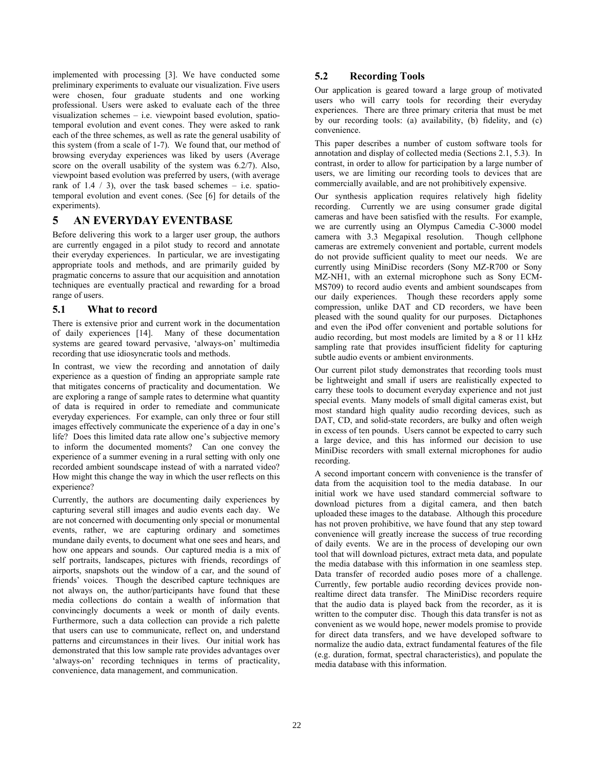implemented with processing [3]. We have conducted some preliminary experiments to evaluate our visualization. Five users were chosen, four graduate students and one working professional. Users were asked to evaluate each of the three visualization schemes – i.e. viewpoint based evolution, spatiotemporal evolution and event cones. They were asked to rank each of the three schemes, as well as rate the general usability of this system (from a scale of 1-7). We found that, our method of browsing everyday experiences was liked by users (Average score on the overall usability of the system was 6.2/7). Also, viewpoint based evolution was preferred by users, (with average rank of  $1.4 / 3$ , over the task based schemes – i.e. spatiotemporal evolution and event cones. (See [6] for details of the experiments).

# **5 AN EVERYDAY EVENTBASE**

Before delivering this work to a larger user group, the authors are currently engaged in a pilot study to record and annotate their everyday experiences. In particular, we are investigating appropriate tools and methods, and are primarily guided by pragmatic concerns to assure that our acquisition and annotation techniques are eventually practical and rewarding for a broad range of users.

## **5.1 What to record**

There is extensive prior and current work in the documentation of daily experiences [14]. Many of these documentation systems are geared toward pervasive, 'always-on' multimedia recording that use idiosyncratic tools and methods.

In contrast, we view the recording and annotation of daily experience as a question of finding an appropriate sample rate that mitigates concerns of practicality and documentation. We are exploring a range of sample rates to determine what quantity of data is required in order to remediate and communicate everyday experiences. For example, can only three or four still images effectively communicate the experience of a day in one's life? Does this limited data rate allow one's subjective memory to inform the documented moments? Can one convey the experience of a summer evening in a rural setting with only one recorded ambient soundscape instead of with a narrated video? How might this change the way in which the user reflects on this experience?

Currently, the authors are documenting daily experiences by capturing several still images and audio events each day. We are not concerned with documenting only special or monumental events, rather, we are capturing ordinary and sometimes mundane daily events, to document what one sees and hears, and how one appears and sounds. Our captured media is a mix of self portraits, landscapes, pictures with friends, recordings of airports, snapshots out the window of a car, and the sound of friends' voices. Though the described capture techniques are not always on, the author/participants have found that these media collections do contain a wealth of information that convincingly documents a week or month of daily events. Furthermore, such a data collection can provide a rich palette that users can use to communicate, reflect on, and understand patterns and circumstances in their lives. Our initial work has demonstrated that this low sample rate provides advantages over 'always-on' recording techniques in terms of practicality, convenience, data management, and communication.

## **5.2 Recording Tools**

Our application is geared toward a large group of motivated users who will carry tools for recording their everyday experiences. There are three primary criteria that must be met by our recording tools: (a) availability, (b) fidelity, and (c) convenience.

This paper describes a number of custom software tools for annotation and display of collected media (Sections 2.1, 5.3). In contrast, in order to allow for participation by a large number of users, we are limiting our recording tools to devices that are commercially available, and are not prohibitively expensive.

Our synthesis application requires relatively high fidelity recording. Currently we are using consumer grade digital cameras and have been satisfied with the results. For example, we are currently using an Olympus Camedia C-3000 model camera with 3.3 Megapixal resolution. Though cellphone cameras are extremely convenient and portable, current models do not provide sufficient quality to meet our needs. We are currently using MiniDisc recorders (Sony MZ-R700 or Sony MZ-NH1, with an external microphone such as Sony ECM-MS709) to record audio events and ambient soundscapes from our daily experiences. Though these recorders apply some compression, unlike DAT and CD recorders, we have been pleased with the sound quality for our purposes. Dictaphones and even the iPod offer convenient and portable solutions for audio recording, but most models are limited by a 8 or 11 kHz sampling rate that provides insufficient fidelity for capturing subtle audio events or ambient environments.

Our current pilot study demonstrates that recording tools must be lightweight and small if users are realistically expected to carry these tools to document everyday experience and not just special events. Many models of small digital cameras exist, but most standard high quality audio recording devices, such as DAT, CD, and solid-state recorders, are bulky and often weigh in excess of ten pounds. Users cannot be expected to carry such a large device, and this has informed our decision to use MiniDisc recorders with small external microphones for audio recording.

A second important concern with convenience is the transfer of data from the acquisition tool to the media database. In our initial work we have used standard commercial software to download pictures from a digital camera, and then batch uploaded these images to the database. Although this procedure has not proven prohibitive, we have found that any step toward convenience will greatly increase the success of true recording of daily events. We are in the process of developing our own tool that will download pictures, extract meta data, and populate the media database with this information in one seamless step. Data transfer of recorded audio poses more of a challenge. Currently, few portable audio recording devices provide nonrealtime direct data transfer. The MiniDisc recorders require that the audio data is played back from the recorder, as it is written to the computer disc. Though this data transfer is not as convenient as we would hope, newer models promise to provide for direct data transfers, and we have developed software to normalize the audio data, extract fundamental features of the file (e.g. duration, format, spectral characteristics), and populate the media database with this information.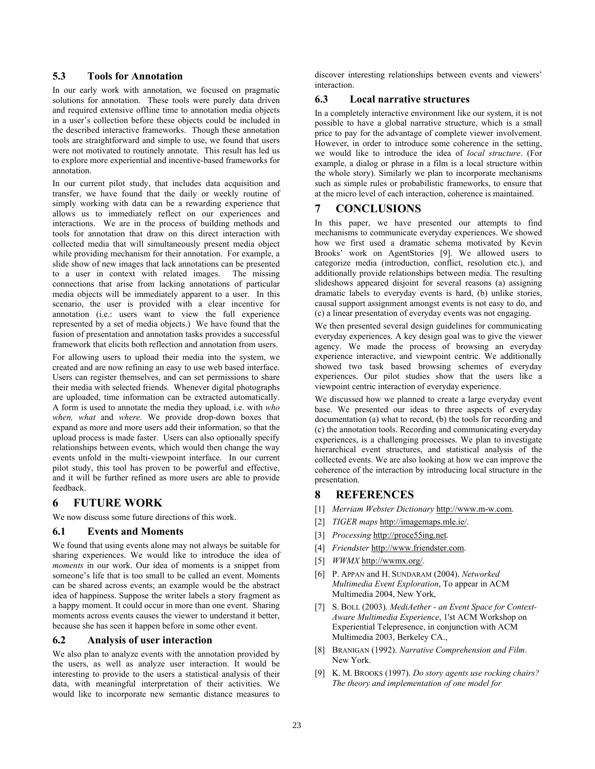## **5.3 Tools for Annotation**

In our early work with annotation, we focused on pragmatic solutions for annotation. These tools were purely data driven and required extensive offline time to annotation media objects in a user's collection before these objects could be included in the described interactive frameworks. Though these annotation tools are straightforward and simple to use, we found that users were not motivated to routinely annotate. This result has led us to explore more experiential and incentive-based frameworks for annotation.

In our current pilot study, that includes data acquisition and transfer, we have found that the daily or weekly routine of simply working with data can be a rewarding experience that allows us to immediately reflect on our experiences and interactions. We are in the process of building methods and tools for annotation that draw on this direct interaction with collected media that will simultaneously present media object while providing mechanism for their annotation. For example, a slide show of new images that lack annotations can be presented to a user in context with related images. The missing connections that arise from lacking annotations of particular media objects will be immediately apparent to a user. In this scenario, the user is provided with a clear incentive for annotation (i.e.: users want to view the full experience represented by a set of media objects.) We have found that the fusion of presentation and annotation tasks provides a successful framework that elicits both reflection and annotation from users.

For allowing users to upload their media into the system, we created and are now refining an easy to use web based interface. Users can register themselves, and can set permissions to share their media with selected friends. Whenever digital photographs are uploaded, time information can be extracted automatically. A form is used to annotate the media they upload, i.e. with *who when, what* and *where.* We provide drop-down boxes that expand as more and more users add their information, so that the upload process is made faster. Users can also optionally specify relationships between events, which would then change the way events unfold in the multi-viewpoint interface. In our current pilot study, this tool has proven to be powerful and effective, and it will be further refined as more users are able to provide feedback.

# **6 FUTURE WORK**

We now discuss some future directions of this work.

## **6.1 Events and Moments**

We found that using events alone may not always be suitable for sharing experiences. We would like to introduce the idea of *moments* in our work. Our idea of moments is a snippet from someone's life that is too small to be called an event. Moments can be shared across events; an example would be the abstract idea of happiness. Suppose the writer labels a story fragment as a happy moment. It could occur in more than one event. Sharing moments across events causes the viewer to understand it better, because she has seen it happen before in some other event.

## **6.2 Analysis of user interaction**

We also plan to analyze events with the annotation provided by the users, as well as analyze user interaction. It would be interesting to provide to the users a statistical analysis of their data, with meaningful interpretation of their activities. We would like to incorporate new semantic distance measures to discover interesting relationships between events and viewers' interaction.

#### **6.3 Local narrative structures**

In a completely interactive environment like our system, it is not possible to have a global narrative structure, which is a small price to pay for the advantage of complete viewer involvement. However, in order to introduce some coherence in the setting, we would like to introduce the idea of *local structure*. (For example, a dialog or phrase in a film is a local structure within the whole story). Similarly we plan to incorporate mechanisms such as simple rules or probabilistic frameworks, to ensure that at the micro level of each interaction, coherence is maintained.

## **7 CONCLUSIONS**

In this paper, we have presented our attempts to find mechanisms to communicate everyday experiences. We showed how we first used a dramatic schema motivated by Kevin Brooks' work on AgentStories [9]. We allowed users to categorize media (introduction, conflict, resolution etc.), and additionally provide relationships between media. The resulting slideshows appeared disjoint for several reasons (a) assigning dramatic labels to everyday events is hard, (b) unlike stories, causal support assignment amongst events is not easy to do, and (c) a linear presentation of everyday events was not engaging.

We then presented several design guidelines for communicating everyday experiences. A key design goal was to give the viewer agency. We made the process of browsing an everyday experience interactive, and viewpoint centric. We additionally showed two task based browsing schemes of everyday experiences. Our pilot studies show that the users like a viewpoint centric interaction of everyday experience.

We discussed how we planned to create a large everyday event base. We presented our ideas to three aspects of everyday documentation (a) what to record, (b) the tools for recording and (c) the annotation tools. Recording and communicating everyday experiences, is a challenging processes. We plan to investigate hierarchical event structures, and statistical analysis of the collected events. We are also looking at how we can improve the coherence of the interaction by introducing local structure in the presentation.

## **8 REFERENCES**

- [1] *Merriam Webster Dictionary* http://www.m-w.com.
- [2] *TIGER maps* http://imagemaps.mle.ie/.
- [3] *Processing* http://proce55ing.net.
- [4] *Friendster* http://www.friendster.com.
- [5] *WWMX* http://wwmx.org/.
- [6] P. APPAN and H. SUNDARAM (2004). *Networked Multimedia Event Exploration*, To appear in ACM Multimedia 2004, New York,
- [7] S. BOLL (2003). *MediAether an Event Space for Context-Aware Multimedia Experience*, 1'st ACM Workshop on Experiential Telepresence, in conjunction with ACM Multimedia 2003, Berkeley CA.,
- [8] BRANIGAN (1992). *Narrative Comprehension and Film*. New York.
- [9] K. M. BROOKS (1997). *Do story agents use rocking chairs? The theory and implementation of one model for*